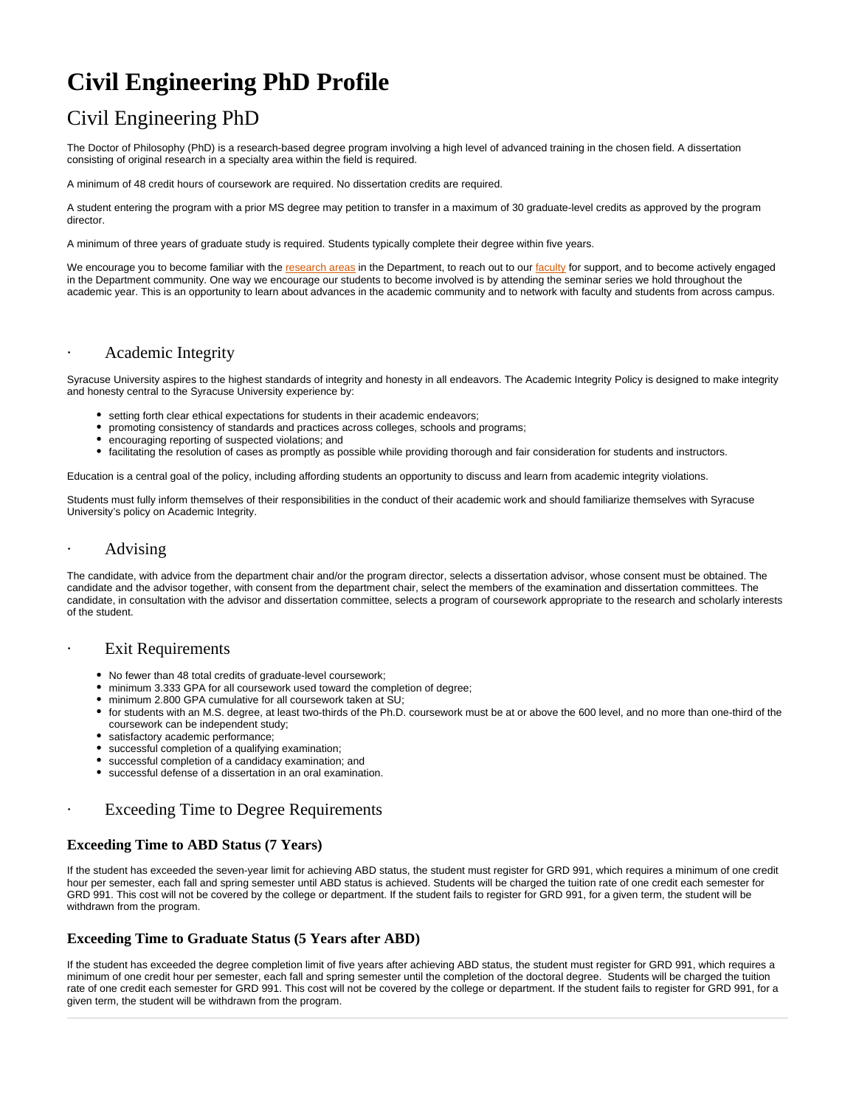# **Civil Engineering PhD Profile**

# Civil Engineering PhD

The Doctor of Philosophy (PhD) is a research-based degree program involving a high level of advanced training in the chosen field. A dissertation consisting of original research in a specialty area within the field is required.

A minimum of 48 credit hours of coursework are required. No dissertation credits are required.

A student entering the program with a prior MS degree may petition to transfer in a maximum of 30 graduate-level credits as approved by the program director.

A minimum of three years of graduate study is required. Students typically complete their degree within five years.

We encourage you to become familiar with the [research areas](https://ecs.syracuse.edu/academics/civil-and-environmental-engineering/research) in the Department, to reach out to our [faculty](https://ecs.syracuse.edu/faculty-staff/?category=civil-and-environmental-engineering&people=&redirect) for support, and to become actively engaged in the Department community. One way we encourage our students to become involved is by attending the seminar series we hold throughout the academic year. This is an opportunity to learn about advances in the academic community and to network with faculty and students from across campus.

## Academic Integrity

Syracuse University aspires to the highest standards of integrity and honesty in all endeavors. The Academic Integrity Policy is designed to make integrity and honesty central to the Syracuse University experience by:

- setting forth clear ethical expectations for students in their academic endeavors;
- promoting consistency of standards and practices across colleges, schools and programs;
- encouraging reporting of suspected violations; and
- facilitating the resolution of cases as promptly as possible while providing thorough and fair consideration for students and instructors.

Education is a central goal of the policy, including affording students an opportunity to discuss and learn from academic integrity violations.

Students must fully inform themselves of their responsibilities in the conduct of their academic work and should familiarize themselves with Syracuse University's policy on Academic Integrity.

#### · Advising

The candidate, with advice from the department chair and/or the program director, selects a dissertation advisor, whose consent must be obtained. The candidate and the advisor together, with consent from the department chair, select the members of the examination and dissertation committees. The candidate, in consultation with the advisor and dissertation committee, selects a program of coursework appropriate to the research and scholarly interests of the student.

### **Exit Requirements**

- No fewer than 48 total credits of graduate-level coursework;
- minimum 3.333 GPA for all coursework used toward the completion of degree;
- minimum 2.800 GPA cumulative for all coursework taken at SU;
- for students with an M.S. degree, at least two-thirds of the Ph.D. coursework must be at or above the 600 level, and no more than one-third of the coursework can be independent study;
- satisfactory academic performance;
- successful completion of a qualifying examination;
- successful completion of a candidacy examination; and
- successful defense of a dissertation in an oral examination.

### Exceeding Time to Degree Requirements

#### **Exceeding Time to ABD Status (7 Years)**

If the student has exceeded the seven-year limit for achieving ABD status, the student must register for GRD 991, which requires a minimum of one credit hour per semester, each fall and spring semester until ABD status is achieved. Students will be charged the tuition rate of one credit each semester for GRD 991. This cost will not be covered by the college or department. If the student fails to register for GRD 991, for a given term, the student will be withdrawn from the program.

#### **Exceeding Time to Graduate Status (5 Years after ABD)**

If the student has exceeded the degree completion limit of five years after achieving ABD status, the student must register for GRD 991, which requires a minimum of one credit hour per semester, each fall and spring semester until the completion of the doctoral degree. Students will be charged the tuition rate of one credit each semester for GRD 991. This cost will not be covered by the college or department. If the student fails to register for GRD 991, for a given term, the student will be withdrawn from the program.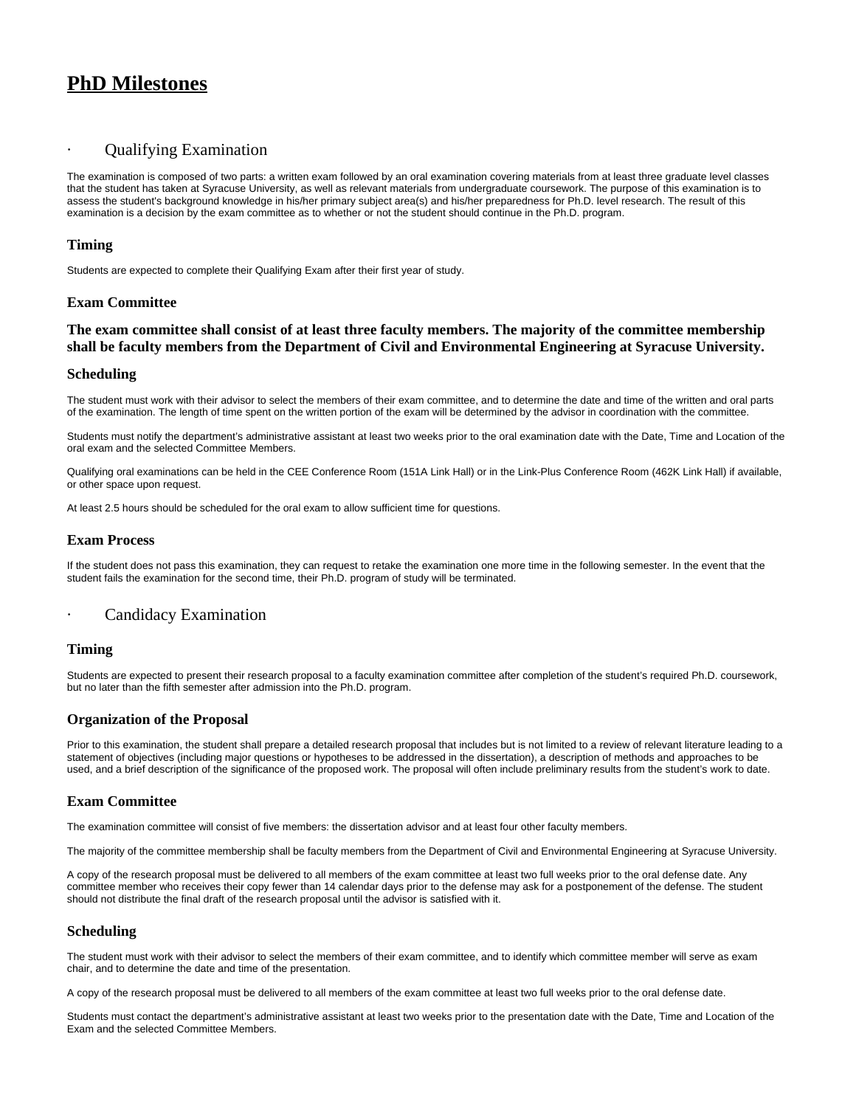# **PhD Milestones**

## Qualifying Examination

The examination is composed of two parts: a written exam followed by an oral examination covering materials from at least three graduate level classes that the student has taken at Syracuse University, as well as relevant materials from undergraduate coursework. The purpose of this examination is to assess the student's background knowledge in his/her primary subject area(s) and his/her preparedness for Ph.D. level research. The result of this examination is a decision by the exam committee as to whether or not the student should continue in the Ph.D. program.

#### **Timing**

Students are expected to complete their Qualifying Exam after their first year of study.

#### **Exam Committee**

### **The exam committee shall consist of at least three faculty members. The majority of the committee membership shall be faculty members from the Department of Civil and Environmental Engineering at Syracuse University.**

#### **Scheduling**

The student must work with their advisor to select the members of their exam committee, and to determine the date and time of the written and oral parts of the examination. The length of time spent on the written portion of the exam will be determined by the advisor in coordination with the committee.

Students must notify the department's administrative assistant at least two weeks prior to the oral examination date with the Date, Time and Location of the oral exam and the selected Committee Members.

Qualifying oral examinations can be held in the CEE Conference Room (151A Link Hall) or in the Link-Plus Conference Room (462K Link Hall) if available, or other space upon request.

At least 2.5 hours should be scheduled for the oral exam to allow sufficient time for questions.

#### **Exam Process**

If the student does not pass this examination, they can request to retake the examination one more time in the following semester. In the event that the student fails the examination for the second time, their Ph.D. program of study will be terminated.

### **Candidacy Examination**

#### **Timing**

Students are expected to present their research proposal to a faculty examination committee after completion of the student's required Ph.D. coursework, but no later than the fifth semester after admission into the Ph.D. program.

#### **Organization of the Proposal**

Prior to this examination, the student shall prepare a detailed research proposal that includes but is not limited to a review of relevant literature leading to a statement of objectives (including major questions or hypotheses to be addressed in the dissertation), a description of methods and approaches to be used, and a brief description of the significance of the proposed work. The proposal will often include preliminary results from the student's work to date.

#### **Exam Committee**

The examination committee will consist of five members: the dissertation advisor and at least four other faculty members.

The majority of the committee membership shall be faculty members from the Department of Civil and Environmental Engineering at Syracuse University.

A copy of the research proposal must be delivered to all members of the exam committee at least two full weeks prior to the oral defense date. Any committee member who receives their copy fewer than 14 calendar days prior to the defense may ask for a postponement of the defense. The student should not distribute the final draft of the research proposal until the advisor is satisfied with it.

#### **Scheduling**

The student must work with their advisor to select the members of their exam committee, and to identify which committee member will serve as exam chair, and to determine the date and time of the presentation.

A copy of the research proposal must be delivered to all members of the exam committee at least two full weeks prior to the oral defense date.

Students must contact the department's administrative assistant at least two weeks prior to the presentation date with the Date, Time and Location of the Exam and the selected Committee Members.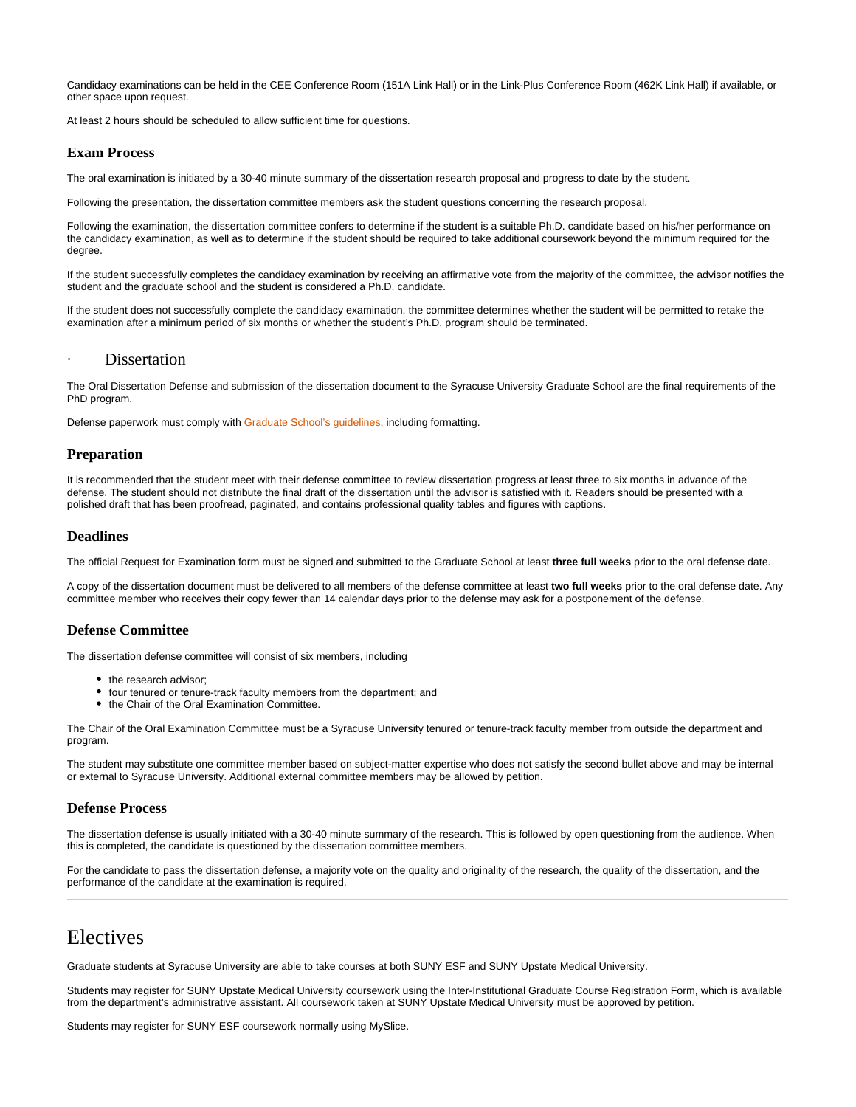Candidacy examinations can be held in the CEE Conference Room (151A Link Hall) or in the Link-Plus Conference Room (462K Link Hall) if available, or other space upon request.

At least 2 hours should be scheduled to allow sufficient time for questions.

#### **Exam Process**

The oral examination is initiated by a 30-40 minute summary of the dissertation research proposal and progress to date by the student.

Following the presentation, the dissertation committee members ask the student questions concerning the research proposal.

Following the examination, the dissertation committee confers to determine if the student is a suitable Ph.D. candidate based on his/her performance on the candidacy examination, as well as to determine if the student should be required to take additional coursework beyond the minimum required for the degree.

If the student successfully completes the candidacy examination by receiving an affirmative vote from the majority of the committee, the advisor notifies the student and the graduate school and the student is considered a Ph.D. candidate.

If the student does not successfully complete the candidacy examination, the committee determines whether the student will be permitted to retake the examination after a minimum period of six months or whether the student's Ph.D. program should be terminated.

#### **Dissertation**

The Oral Dissertation Defense and submission of the dissertation document to the Syracuse University Graduate School are the final requirements of the PhD program.

Defense paperwork must comply with **[Graduate School's guidelines](http://graduateschool.syr.edu/policies-and-requirements/graduation-requirements/)**, including formatting.

#### **Preparation**

It is recommended that the student meet with their defense committee to review dissertation progress at least three to six months in advance of the defense. The student should not distribute the final draft of the dissertation until the advisor is satisfied with it. Readers should be presented with a polished draft that has been proofread, paginated, and contains professional quality tables and figures with captions.

#### **Deadlines**

The official Request for Examination form must be signed and submitted to the Graduate School at least **three full weeks** prior to the oral defense date.

A copy of the dissertation document must be delivered to all members of the defense committee at least **two full weeks** prior to the oral defense date. Any committee member who receives their copy fewer than 14 calendar days prior to the defense may ask for a postponement of the defense.

#### **Defense Committee**

The dissertation defense committee will consist of six members, including

- the research advisor:
- four tenured or tenure-track faculty members from the department; and
- the Chair of the Oral Examination Committee.

The Chair of the Oral Examination Committee must be a Syracuse University tenured or tenure-track faculty member from outside the department and program.

The student may substitute one committee member based on subject-matter expertise who does not satisfy the second bullet above and may be internal or external to Syracuse University. Additional external committee members may be allowed by petition.

#### **Defense Process**

The dissertation defense is usually initiated with a 30-40 minute summary of the research. This is followed by open questioning from the audience. When this is completed, the candidate is questioned by the dissertation committee members.

For the candidate to pass the dissertation defense, a majority vote on the quality and originality of the research, the quality of the dissertation, and the performance of the candidate at the examination is required.

# Electives

Graduate students at Syracuse University are able to take courses at both SUNY ESF and SUNY Upstate Medical University.

Students may register for SUNY Upstate Medical University coursework using the Inter-Institutional Graduate Course Registration Form, which is available from the department's administrative assistant. All coursework taken at SUNY Upstate Medical University must be approved by petition.

Students may register for SUNY ESF coursework normally using MySlice.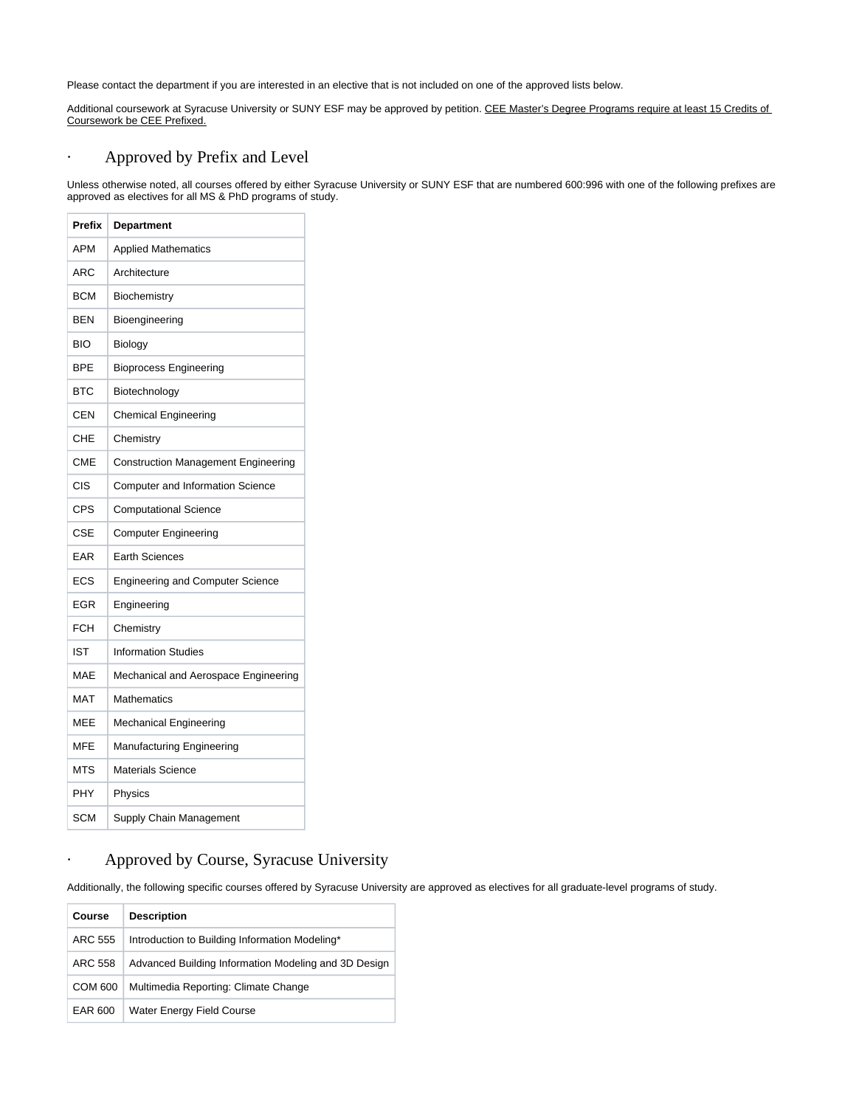Please contact the department if you are interested in an elective that is not included on one of the approved lists below.

Additional coursework at Syracuse University or SUNY ESF may be approved by petition. CEE Master's Degree Programs require at least 15 Credits of Coursework be CEE Prefixed.

# · Approved by Prefix and Level

Unless otherwise noted, all courses offered by either Syracuse University or SUNY ESF that are numbered 600:996 with one of the following prefixes are approved as electives for all MS & PhD programs of study.

| Prefix     | <b>Department</b>                          |
|------------|--------------------------------------------|
| APM        | <b>Applied Mathematics</b>                 |
| ARC        | Architecture                               |
| <b>BCM</b> | Biochemistry                               |
| BEN        | Bioengineering                             |
| <b>BIO</b> | <b>Biology</b>                             |
| <b>BPE</b> | <b>Bioprocess Engineering</b>              |
| <b>BTC</b> | Biotechnology                              |
| CEN        | <b>Chemical Engineering</b>                |
| CHE        | Chemistry                                  |
| <b>CME</b> | <b>Construction Management Engineering</b> |
| CIS        | <b>Computer and Information Science</b>    |
| <b>CPS</b> | <b>Computational Science</b>               |
| <b>CSE</b> | <b>Computer Engineering</b>                |
| EAR        | <b>Earth Sciences</b>                      |
| <b>ECS</b> | <b>Engineering and Computer Science</b>    |
| EGR        | Engineering                                |
| <b>FCH</b> | Chemistry                                  |
| <b>IST</b> | <b>Information Studies</b>                 |
| MAE        | Mechanical and Aerospace Engineering       |
| <b>MAT</b> | <b>Mathematics</b>                         |
| <b>MEE</b> | <b>Mechanical Engineering</b>              |
| MFE        | <b>Manufacturing Engineering</b>           |
| MTS        | <b>Materials Science</b>                   |
| PHY        | Physics                                    |
| SCM        | Supply Chain Management                    |

# · Approved by Course, Syracuse University

Additionally, the following specific courses offered by Syracuse University are approved as electives for all graduate-level programs of study.

| Course         | <b>Description</b>                                   |
|----------------|------------------------------------------------------|
| ARC 555        | Introduction to Building Information Modeling*       |
| ARC 558        | Advanced Building Information Modeling and 3D Design |
| <b>COM 600</b> | Multimedia Reporting: Climate Change                 |
| EAR 600        | Water Energy Field Course                            |